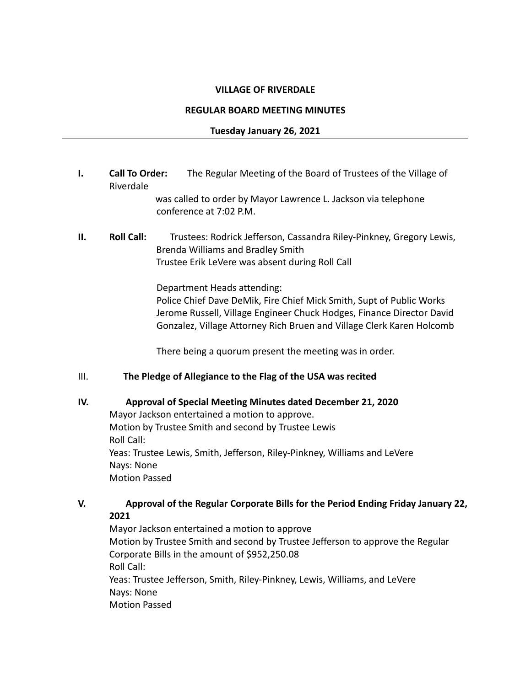### **VILLAGE OF RIVERDALE**

#### **REGULAR BOARD MEETING MINUTES**

## **Tuesday January 26, 2021**

**I. Call To Order:** The Regular Meeting of the Board of Trustees of the Village of Riverdale

> was called to order by Mayor Lawrence L. Jackson via telephone conference at 7:02 P.M.

# **II. Roll Call:** Trustees: Rodrick Jefferson, Cassandra Riley-Pinkney, Gregory Lewis, Brenda Williams and Bradley Smith Trustee Erik LeVere was absent during Roll Call

Department Heads attending:

Police Chief Dave DeMik, Fire Chief Mick Smith, Supt of Public Works Jerome Russell, Village Engineer Chuck Hodges, Finance Director David Gonzalez, Village Attorney Rich Bruen and Village Clerk Karen Holcomb

There being a quorum present the meeting was in order.

## III. **The Pledge of Allegiance to the Flag of the USA was recited**

## **IV. Approval of Special Meeting Minutes dated December 21, 2020**

Mayor Jackson entertained a motion to approve. Motion by Trustee Smith and second by Trustee Lewis Roll Call: Yeas: Trustee Lewis, Smith, Jefferson, Riley-Pinkney, Williams and LeVere Nays: None Motion Passed

## **V. Approval of the Regular Corporate Bills for the Period Ending Friday January 22, 2021**

Mayor Jackson entertained a motion to approve Motion by Trustee Smith and second by Trustee Jefferson to approve the Regular Corporate Bills in the amount of \$952,250.08 Roll Call: Yeas: Trustee Jefferson, Smith, Riley-Pinkney, Lewis, Williams, and LeVere Nays: None Motion Passed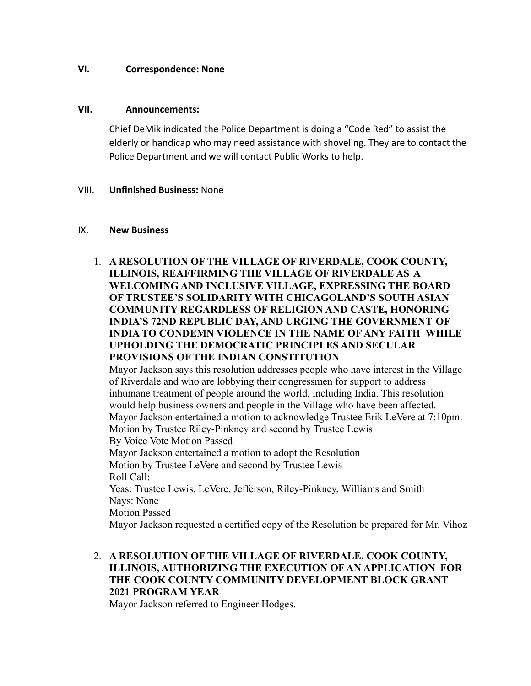## **VI. Correspondence: None**

#### **VII. Announcements:**

Chief DeMik indicated the Police Department is doing a "Code Red" to assist the elderly or handicap who may need assistance with shoveling. They are to contact the Police Department and we will contact Public Works to help.

#### VIII. **Unfinished Business:** None

#### IX. **New Business**

1. **A RESOLUTION OF THE VILLAGE OF RIVERDALE, COOK COUNTY, ILLINOIS, REAFFIRMING THE VILLAGE OF RIVERDALE AS A WELCOMING AND INCLUSIVE VILLAGE, EXPRESSING THE BOARD OF TRUSTEE'S SOLIDARITY WITH CHICAGOLAND'S SOUTH ASIAN COMMUNITY REGARDLESS OF RELIGION AND CASTE, HONORING INDIA'S 72ND REPUBLIC DAY, AND URGING THE GOVERNMENT OF INDIA TO CONDEMN VIOLENCE IN THE NAME OF ANY FAITH WHILE UPHOLDING THE DEMOCRATIC PRINCIPLES AND SECULAR PROVISIONS OF THE INDIAN CONSTITUTION**

Mayor Jackson says this resolution addresses people who have interest in the Village of Riverdale and who are lobbying their congressmen for support to address inhumane treatment of people around the world, including India. This resolution would help business owners and people in the Village who have been affected. Mayor Jackson entertained a motion to acknowledge Trustee Erik LeVere at 7:10pm. Motion by Trustee Riley-Pinkney and second by Trustee Lewis By Voice Vote Motion Passed Mayor Jackson entertained a motion to adopt the Resolution Motion by Trustee LeVere and second by Trustee Lewis Roll Call: Yeas: Trustee Lewis, LeVere, Jefferson, Riley-Pinkney, Williams and Smith Nays: None Motion Passed

Mayor Jackson requested a certified copy of the Resolution be prepared for Mr. Vihoz

# 2. **A RESOLUTION OF THE VILLAGE OF RIVERDALE, COOK COUNTY, ILLINOIS, AUTHORIZING THE EXECUTION OF AN APPLICATION FOR THE COOK COUNTY COMMUNITY DEVELOPMENT BLOCK GRANT 2021 PROGRAM YEAR**

Mayor Jackson referred to Engineer Hodges.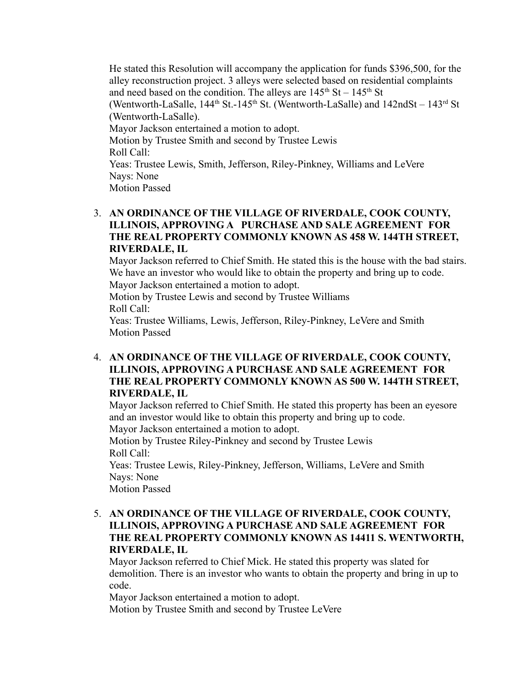He stated this Resolution will accompany the application for funds \$396,500, for the alley reconstruction project. 3 alleys were selected based on residential complaints and need based on the condition. The alleys are  $145<sup>th</sup>$  St –  $145<sup>th</sup>$  St (Wentworth-LaSalle,  $144<sup>th</sup>$  St.-145<sup>th</sup> St. (Wentworth-LaSalle) and  $142n dSt - 143<sup>rd</sup>$  St (Wentworth-LaSalle). Mayor Jackson entertained a motion to adopt. Motion by Trustee Smith and second by Trustee Lewis Roll Call: Yeas: Trustee Lewis, Smith, Jefferson, Riley-Pinkney, Williams and LeVere Nays: None Motion Passed

# 3. **AN ORDINANCE OF THE VILLAGE OF RIVERDALE, COOK COUNTY, ILLINOIS, APPROVING A PURCHASE AND SALE AGREEMENT FOR THE REAL PROPERTY COMMONLY KNOWN AS 458 W. 144TH STREET, RIVERDALE, IL**

Mayor Jackson referred to Chief Smith. He stated this is the house with the bad stairs. We have an investor who would like to obtain the property and bring up to code.

Mayor Jackson entertained a motion to adopt.

Motion by Trustee Lewis and second by Trustee Williams Roll Call:

Yeas: Trustee Williams, Lewis, Jefferson, Riley-Pinkney, LeVere and Smith Motion Passed

4. **AN ORDINANCE OF THE VILLAGE OF RIVERDALE, COOK COUNTY, ILLINOIS, APPROVING A PURCHASE AND SALE AGREEMENT FOR THE REAL PROPERTY COMMONLY KNOWN AS 500 W. 144TH STREET, RIVERDALE, IL**

Mayor Jackson referred to Chief Smith. He stated this property has been an eyesore and an investor would like to obtain this property and bring up to code.

Mayor Jackson entertained a motion to adopt.

Motion by Trustee Riley-Pinkney and second by Trustee Lewis Roll Call:

Yeas: Trustee Lewis, Riley-Pinkney, Jefferson, Williams, LeVere and Smith Nays: None

Motion Passed

5. **AN ORDINANCE OF THE VILLAGE OF RIVERDALE, COOK COUNTY, ILLINOIS, APPROVING A PURCHASE AND SALE AGREEMENT FOR THE REAL PROPERTY COMMONLY KNOWN AS 14411 S. WENTWORTH, RIVERDALE, IL**

Mayor Jackson referred to Chief Mick. He stated this property was slated for demolition. There is an investor who wants to obtain the property and bring in up to code.

Mayor Jackson entertained a motion to adopt.

Motion by Trustee Smith and second by Trustee LeVere